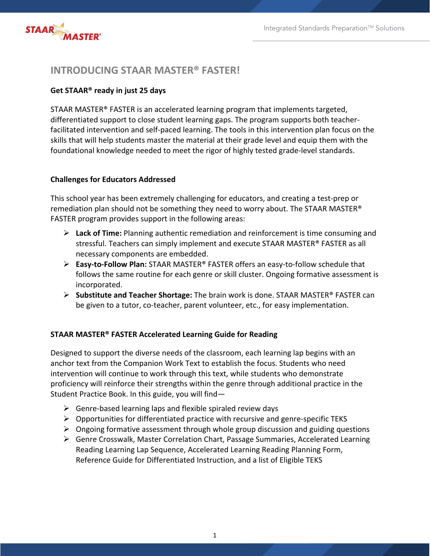

# **INTRODUCING STAAR MASTER® FASTER!**

# **Get STAAR® ready in just 25 days**

STAAR MASTER® FASTER is an accelerated learning program that implements targeted, differentiated support to close student learning gaps. The program supports both teacherfacilitated intervention and self-paced learning. The tools in this intervention plan focus on the skills that will help students master the material at their grade level and equip them with the foundational knowledge needed to meet the rigor of highly tested grade-level standards.

### **Challenges for Educators Addressed**

This school year has been extremely challenging for educators, and creating a test-prep or remediation plan should not be something they need to worry about. The STAAR MASTER® FASTER program provides support in the following areas:

- Ø **Lack of Time:** Planning authentic remediation and reinforcement is time consuming and stressful. Teachers can simply implement and execute STAAR MASTER® FASTER as all necessary components are embedded.
- Ø **Easy-to-Follow Plan:** STAAR MASTER® FASTER offers an easy-to-follow schedule that follows the same routine for each genre or skill cluster. Ongoing formative assessment is incorporated.
- Ø **Substitute and Teacher Shortage:** The brain work is done. STAAR MASTER® FASTER can be given to a tutor, co-teacher, parent volunteer, etc., for easy implementation.

# **STAAR MASTER® FASTER Accelerated Learning Guide for Reading**

Designed to support the diverse needs of the classroom, each learning lap begins with an anchor text from the Companion Work Text to establish the focus. Students who need intervention will continue to work through this text, while students who demonstrate proficiency will reinforce their strengths within the genre through additional practice in the Student Practice Book. In this guide, you will find—

- $\triangleright$  Genre-based learning laps and flexible spiraled review days
- $\triangleright$  Opportunities for differentiated practice with recursive and genre-specific TEKS
- $\triangleright$  Ongoing formative assessment through whole group discussion and guiding questions
- Ø Genre Crosswalk, Master Correlation Chart, Passage Summaries, Accelerated Learning Reading Learning Lap Sequence, Accelerated Learning Reading Planning Form, Reference Guide for Differentiated Instruction, and a list of Eligible TEKS